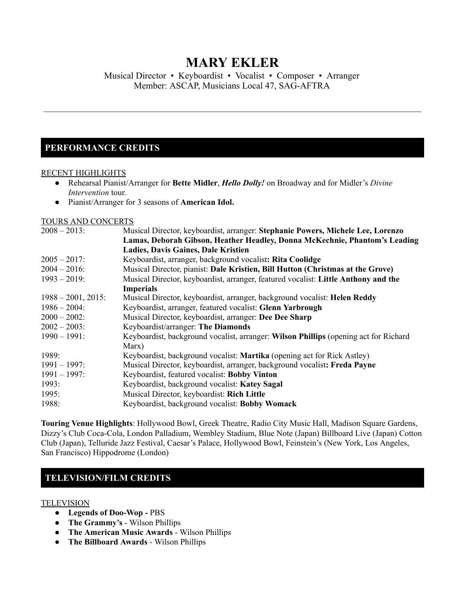# **MARY EKLER**

Musical Director • Keyboardist • Vocalist • Composer • Arranger Member: ASCAP, Musicians Local 47, SAG-AFTRA

# **PERFORMANCE CREDITS**

#### RECENT HIGHLIGHTS

- Rehearsal Pianist/Arranger for **Bette Midler**, *Hello Dolly!* on Broadway and for Midler's *Divine Intervention* tour.
- Pianist/Arranger for 3 seasons of **American Idol.**

#### TOURS AND CONCERTS

| $2008 - 2013$ :       | Musical Director, keyboardist, arranger: Stephanie Powers, Michele Lee, Lorenzo      |
|-----------------------|--------------------------------------------------------------------------------------|
|                       | Lamas, Deborah Gibson, Heather Headley, Donna McKechnie, Phantom's Leading           |
|                       | <b>Ladies, Davis Gaines, Dale Kristien</b>                                           |
| $2005 - 2017$ :       | Keyboardist, arranger, background vocalist: Rita Coolidge                            |
| $2004 - 2016$ :       | Musical Director, pianist: Dale Kristien, Bill Hutton (Christmas at the Grove)       |
| $1993 - 2019$ :       | Musical Director, keyboardist, arranger, featured vocalist: Little Anthony and the   |
|                       | <b>Imperials</b>                                                                     |
| $1988 - 2001$ , 2015: | Musical Director, keyboardist, arranger, background vocalist: Helen Reddy            |
| $1986 - 2004$ :       | Keyboardist, arranger, featured vocalist: Glenn Yarbrough                            |
| $2000 - 2002$ :       | Musical Director, keyboardist, arranger: Dee Dee Sharp                               |
| $2002 - 2003$ :       | Keyboardist/arranger: The Diamonds                                                   |
| $1990 - 1991$ :       | Keyboardist, background vocalist, arranger: Wilson Phillips (opening act for Richard |
|                       | Marx)                                                                                |
| 1989:                 | Keyboardist, background vocalist: Martika (opening act for Rick Astley)              |
| $1991 - 1997$ :       | Musical Director, keyboardist, arranger, background vocalist: Freda Payne            |
| $1991 - 1997$ :       | Keyboardist, featured vocalist: Bobby Vinton                                         |
| 1993:                 | Keyboardist, background vocalist: Katey Sagal                                        |
| 1995:                 | Musical Director, keyboardist: Rich Little                                           |
| 1988:                 | Keyboardist, background vocalist: Bobby Womack                                       |
|                       |                                                                                      |

**Touring Venue Highlights**: Hollywood Bowl, Greek Theatre, Radio City Music Hall, Madison Square Gardens, Dizzy's Club Coca-Cola, London Palladium, Wembley Stadium, Blue Note (Japan) Billboard Live (Japan) Cotton Club (Japan), Telluride Jazz Festival, Caesar's Palace, Hollywood Bowl, Feinstein's (New York, Los Angeles, San Francisco) Hippodrome (London)

### **TELEVISION/FILM CREDITS**

### **TELEVISION**

- **● Legends of Doo-Wop -** PBS
- **The Grammy's** Wilson Phillips
- **The American Music Awards** Wilson Phillips
- **● The Billboard Awards** Wilson Phillips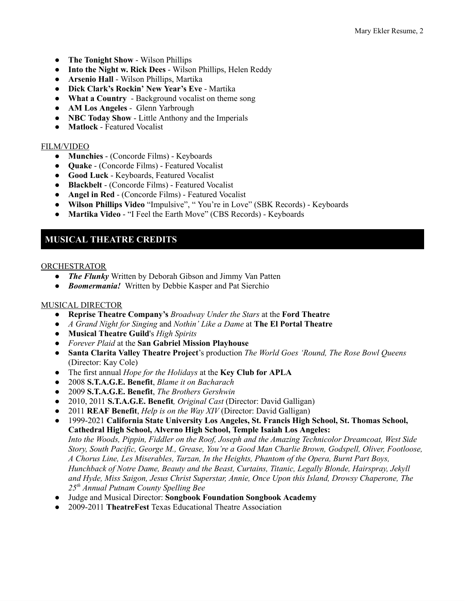- **The Tonight Show** Wilson Phillips
- **Into the Night w. Rick Dees** Wilson Phillips, Helen Reddy
- **Arsenio Hall** Wilson Phillips, Martika
- **Dick Clark's Rockin' New Year's Eve** Martika
- **● What a Country** Background vocalist on theme song
- **AM Los Angeles** Glenn Yarbrough
- **NBC Today Show** Little Anthony and the Imperials
- **Matlock** Featured Vocalist

### FILM/VIDEO

- **Munchies** (Concorde Films) Keyboards
- **Quake** (Concorde Films) Featured Vocalist
- **Good Luck** Keyboards, Featured Vocalist
- **Blackbelt** (Concorde Films) Featured Vocalist
- **Angel in Red** (Concorde Films) Featured Vocalist
- **Wilson Phillips Video** "Impulsive", " You're in Love" (SBK Records) Keyboards
- **Martika Video** "I Feel the Earth Move" (CBS Records) Keyboards

### **MUSICAL THEATRE CREDITS**

### ORCHESTRATOR

- *The Flunky* Written by Deborah Gibson and Jimmy Van Patten
- *Boomermania!* Written by Debbie Kasper and Pat Sierchio

### MUSICAL DIRECTOR

- **Reprise Theatre Company's** *Broadway Under the Stars* at the **Ford Theatre**
- *A Grand Night for Singing* and *Nothin' Like a Dame* at **The El Portal Theatre**
- **Musical Theatre Guild**'s *High Spirits*
- *Forever Plaid* at the **San Gabriel Mission Playhouse**
- **Santa Clarita Valley Theatre Project**'s production *The World Goes 'Round, The Rose Bowl Queens* (Director: Kay Cole)
- The first annual *Hope for the Holidays* at the **Key Club for APLA**
- 2008 **S.T.A.G.E. Benefit**, *Blame it on Bacharach*
- 2009 **S.T.A.G.E. Benefit**, *The Brothers Gershwin*
- 2010, 2011 **S.T.A.G.E. Benefit***, Original Cast* (Director: David Galligan)
- 2011 **REAF Benefit**, *Help is on the Way XIV* (Director: David Galligan)
- **●** 1999-2021 **California State University Los Angeles, St. Francis High School, St. Thomas School, Cathedral High School, Alverno High School, Temple Isaiah Los Angeles:** *Into the Woods, Pippin, Fiddler on the Roof, Joseph and the Amazing Technicolor Dreamcoat, West Side Story, South Pacific, George M., Grease, You're a Good Man Charlie Brown, Godspell, Oliver, Footloose, A Chorus Line, Les Miserables, Tarzan, In the Heights, Phantom of the Opera, Burnt Part Boys, Hunchback of Notre Dame, Beauty and the Beast, Curtains, Titanic, Legally Blonde, Hairspray, Jekyll and Hyde, Miss Saigon, Jesus Christ Superstar, Annie, Once Upon this Island, Drowsy Chaperone, The 25 th Annual Putnam County Spelling Bee*
- *●* Judge and Musical Director: **Songbook Foundation Songbook Academy**
- *●* 2009-2011 **TheatreFest** Texas Educational Theatre Association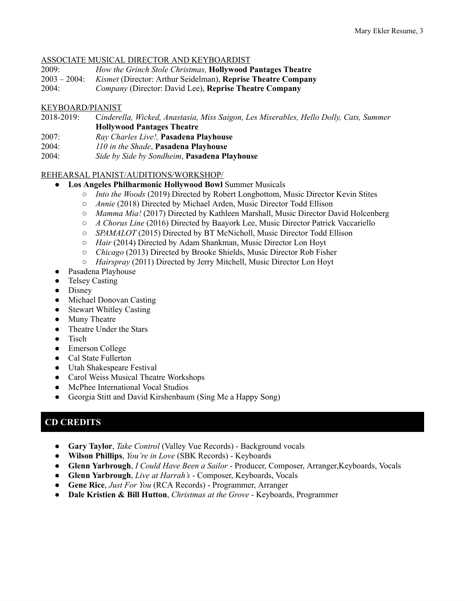### ASSOCIATE MUSICAL DIRECTOR AND KEYBOARDIST

- 2009: *How the Grinch Stole Christmas,* **Hollywood Pantages Theatre**
- 2003 2004: *Kismet* (Director: Arthur Seidelman), **Reprise Theatre Company**

2004: *Company* (Director: David Lee), **Reprise Theatre Company**

### KEYBOARD/PIANIST

- 2018-2019: C*inderella, Wicked, Anastasia, Miss Saigon, Les Miserables, Hello Dolly, Cats, Summer* **Hollywood Pantages Theatre**
- 2007: *Ray Charles Live!,* **Pasadena Playhouse**
- 2004: *110 in the Shade*, **Pasadena Playhouse**
- 2004: *Side by Side by Sondheim*, **Pasadena Playhouse**

### REHEARSAL PIANIST/AUDITIONS/WORKSHOP/

- **Los Angeles Philharmonic Hollywood Bowl** Summer Musicals
	- *○ Into the Woods* (2019) Directed by Robert Longbottom, Music Director Kevin Stites
	- *○ Annie* (2018) Directed by Michael Arden, Music Director Todd Ellison
	- *○ Mamma Mia!* (2017) Directed by Kathleen Marshall, Music Director David Holcenberg
	- *○ A Chorus Line* (2016) Directed by Baayork Lee, Music Director Patrick Vaccariello
	- *○ SPAMALOT* (2015) Directed by BT McNicholl, Music Director Todd Ellison
	- *○ Hair* (2014) Directed by Adam Shankman, Music Director Lon Hoyt
	- *○ Chicago* (2013) Directed by Brooke Shields, Music Director Rob Fisher
	- *○ Hairspray* (2011) Directed by Jerry Mitchell, Music Director Lon Hoyt
- *●* Pasadena Playhouse
- *●* Telsey Casting
- Disney
- Michael Donovan Casting
- Stewart Whitley Casting
- Muny Theatre
- Theatre Under the Stars
- Tisch
- Emerson College
- Cal State Fullerton
- Utah Shakespeare Festival
- Carol Weiss Musical Theatre Workshops
- McPhee International Vocal Studios
- Georgia Stitt and David Kirshenbaum (Sing Me a Happy Song)

### **CD CREDITS**

- **Gary Taylor**, *Take Control* (Valley Vue Records) Background vocals
- **Wilson Phillips**, *You're in Love* (SBK Records) Keyboards
- **Glenn Yarbrough**, *I Could Have Been a Sailor* Producer, Composer, Arranger,Keyboards, Vocals
- **Glenn Yarbrough**, *Live at Harrah's* Composer, Keyboards, Vocals
- **Gene Rice**, *Just For You* (RCA Records) Programmer, Arranger
- **Dale Kristien & Bill Hutton**, *Christmas at the Grove* Keyboards, Programmer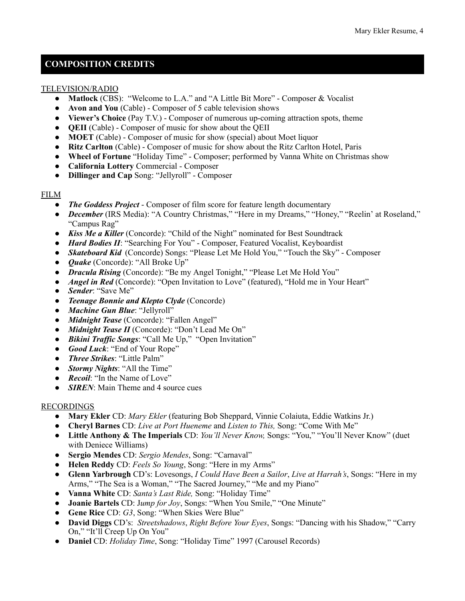# **COMPOSITION CREDITS**

### TELEVISION/RADIO

- **Matlock** (CBS): "Welcome to L.A." and "A Little Bit More" Composer & Vocalist
- **Avon and You** (Cable) Composer of 5 cable television shows
- **Viewer's Choice** (Pay T.V.) Composer of numerous up-coming attraction spots, theme
- **QEII** (Cable) Composer of music for show about the QEII
- **MOET** (Cable) Composer of music for show (special) about Moet liquor
- **Ritz Carlton** (Cable) Composer of music for show about the Ritz Carlton Hotel, Paris
- **Wheel of Fortune** "Holiday Time" Composer; performed by Vanna White on Christmas show
- **California Lottery** Commercial Composer
- **Dillinger and Cap** Song: "Jellyroll" Composer

### FILM

- *The Goddess Project* Composer of film score for feature length documentary
- *December* (IRS Media): "A Country Christmas," "Here in my Dreams," "Honey," "Reelin' at Roseland," "Campus Rag"
- *Kiss Me a Killer* (Concorde): "Child of the Night" nominated for Best Soundtrack
- *Hard Bodies II*: "Searching For You" Composer, Featured Vocalist, Keyboardist
- *Skateboard Kid* (Concorde) Songs: "Please Let Me Hold You," "Touch the Sky" Composer
- *Quake* (Concorde): "All Broke Up"
- *Dracula Rising* (Concorde): "Be my Angel Tonight," "Please Let Me Hold You"
- *Angel in Red* (Concorde): "Open Invitation to Love" (featured), "Hold me in Your Heart"
- *Sender*: "Save Me"
- *Teenage Bonnie and Klepto Clyde* (Concorde)
- *Machine Gun Blue*: "Jellyroll"
- *Midnight Tease* (Concorde): "Fallen Angel"
- *Midnight Tease II* (Concorde): "Don't Lead Me On"
- *Bikini Traf ic Songs*: "Call Me Up," "Open Invitation"
- *Good Luck*: "End of Your Rope"
- *Three Strikes*: "Little Palm"
- *Stormy Nights*: "All the Time"
- *Recoil:* "In the Name of Love"
- *SIREN*: Main Theme and 4 source cues

### RECORDINGS

- **Mary Ekler** CD: *Mary Ekler* (featuring Bob Sheppard, Vinnie Colaiuta, Eddie Watkins Jr.)
- **Cheryl Barnes** CD: *Live at Port Hueneme* and *Listen to This,* Song: "Come With Me"
- **Little Anthony & The Imperials** CD: *You'll Never Know,* Songs: "You," "You'll Never Know" (duet with Deniece Williams)
- **Sergio Mendes** CD: *Sergio Mendes*, Song: "Carnaval"
- **Helen Reddy** CD: *Feels So Young*, Song: "Here in my Arms"
- **Glenn Yarbrough** CD's: Lovesongs, *I Could Have Been a Sailor*, *Live at Harrah's*, Songs: "Here in my Arms," "The Sea is a Woman," "The Sacred Journey," "Me and my Piano"
- **Vanna White** CD: *Santa's Last Ride,* Song: "Holiday Time"
- **Joanie Bartels** CD: J*ump for Joy*, Songs: "When You Smile," "One Minute"
- Gene Rice CD: G3, Song: "When Skies Were Blue"
- **David Diggs** CD's: *Streetshadows*, *Right Before Your Eyes*, Songs: "Dancing with his Shadow," "Carry On," "It'll Creep Up On You"
- **Daniel** CD: *Holiday Time*, Song: "Holiday Time" 1997 (Carousel Records)